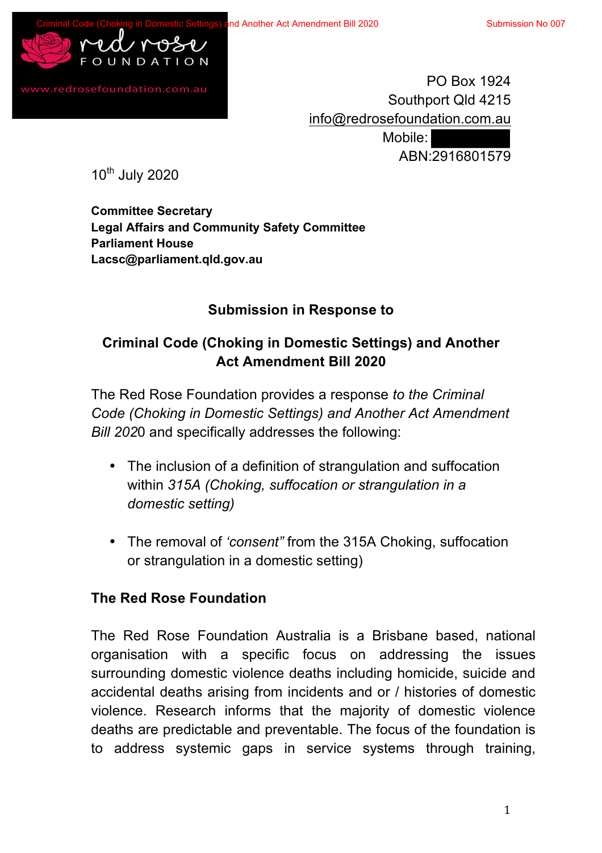

www.redrosefoundation.com.au

PO Box 1924 Southport Qld 4215 info@redrosefoundation.com.au Mobile: ABN:2916801579

10th July 2020

**Committee Secretary Legal Affairs and Community Safety Committee Parliament House Lacsc@parliament.qld.gov.au**

### **Submission in Response to**

# **Criminal Code (Choking in Domestic Settings) and Another Act Amendment Bill 2020**

The Red Rose Foundation provides a response *to the Criminal Code (Choking in Domestic Settings) and Another Act Amendment Bill 202*0 and specifically addresses the following:

- The inclusion of a definition of strangulation and suffocation within *315A (Choking, suffocation or strangulation in a domestic setting)*
- The removal of *'consent"* from the 315A Choking, suffocation or strangulation in a domestic setting)

#### **The Red Rose Foundation**

The Red Rose Foundation Australia is a Brisbane based, national organisation with a specific focus on addressing the issues surrounding domestic violence deaths including homicide, suicide and accidental deaths arising from incidents and or / histories of domestic violence. Research informs that the majority of domestic violence deaths are predictable and preventable. The focus of the foundation is to address systemic gaps in service systems through training,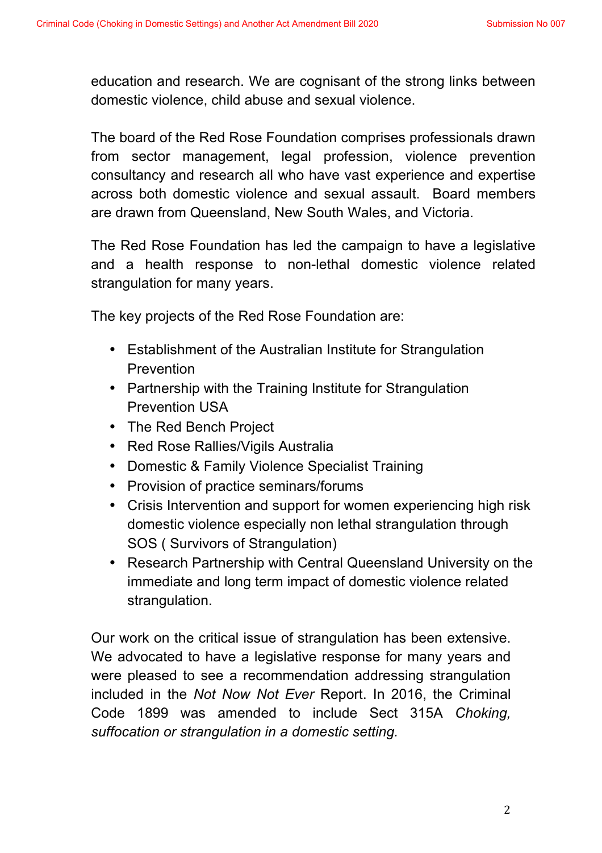education and research. We are cognisant of the strong links between domestic violence, child abuse and sexual violence.

The board of the Red Rose Foundation comprises professionals drawn from sector management, legal profession, violence prevention consultancy and research all who have vast experience and expertise across both domestic violence and sexual assault. Board members are drawn from Queensland, New South Wales, and Victoria.

The Red Rose Foundation has led the campaign to have a legislative and a health response to non-lethal domestic violence related strangulation for many years.

The key projects of the Red Rose Foundation are:

- Establishment of the Australian Institute for Strangulation Prevention
- Partnership with the Training Institute for Strangulation Prevention USA
- The Red Bench Project
- Red Rose Rallies/Vigils Australia
- Domestic & Family Violence Specialist Training
- Provision of practice seminars/forums
- Crisis Intervention and support for women experiencing high risk domestic violence especially non lethal strangulation through SOS ( Survivors of Strangulation)
- Research Partnership with Central Queensland University on the immediate and long term impact of domestic violence related strangulation.

Our work on the critical issue of strangulation has been extensive. We advocated to have a legislative response for many years and were pleased to see a recommendation addressing strangulation included in the *Not Now Not Ever* Report. In 2016, the Criminal Code 1899 was amended to include Sect 315A *Choking, suffocation or strangulation in a domestic setting.*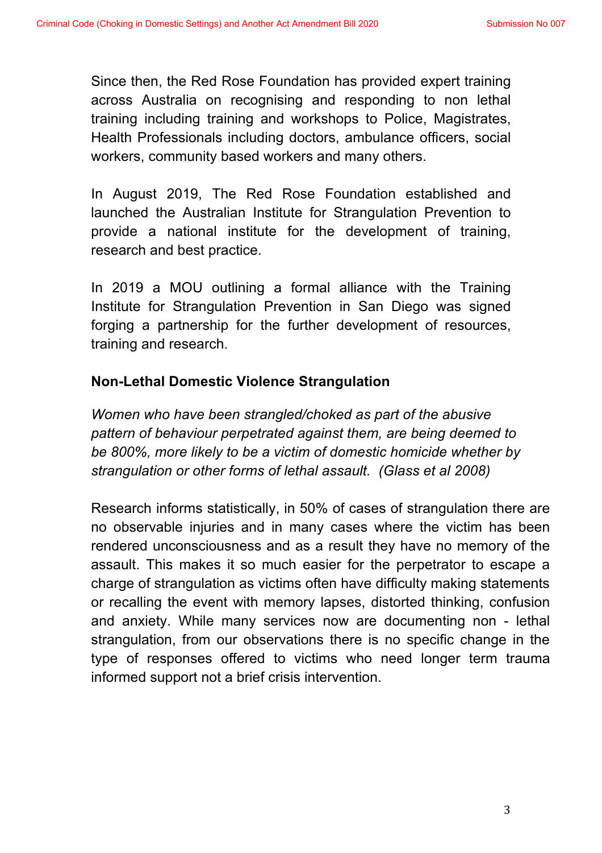Since then, the Red Rose Foundation has provided expert training across Australia on recognising and responding to non lethal training including training and workshops to Police, Magistrates, Health Professionals including doctors, ambulance officers, social workers, community based workers and many others.

In August 2019, The Red Rose Foundation established and launched the Australian Institute for Strangulation Prevention to provide a national institute for the development of training, research and best practice.

In 2019 a MOU outlining a formal alliance with the Training Institute for Strangulation Prevention in San Diego was signed forging a partnership for the further development of resources, training and research.

#### **Non-Lethal Domestic Violence Strangulation**

*Women who have been strangled/choked as part of the abusive pattern of behaviour perpetrated against them, are being deemed to be 800%, more likely to be a victim of domestic homicide whether by strangulation or other forms of lethal assault. (Glass et al 2008)*

Research informs statistically, in 50% of cases of strangulation there are no observable injuries and in many cases where the victim has been rendered unconsciousness and as a result they have no memory of the assault. This makes it so much easier for the perpetrator to escape a charge of strangulation as victims often have difficulty making statements or recalling the event with memory lapses, distorted thinking, confusion and anxiety. While many services now are documenting non - lethal strangulation, from our observations there is no specific change in the type of responses offered to victims who need longer term trauma informed support not a brief crisis intervention.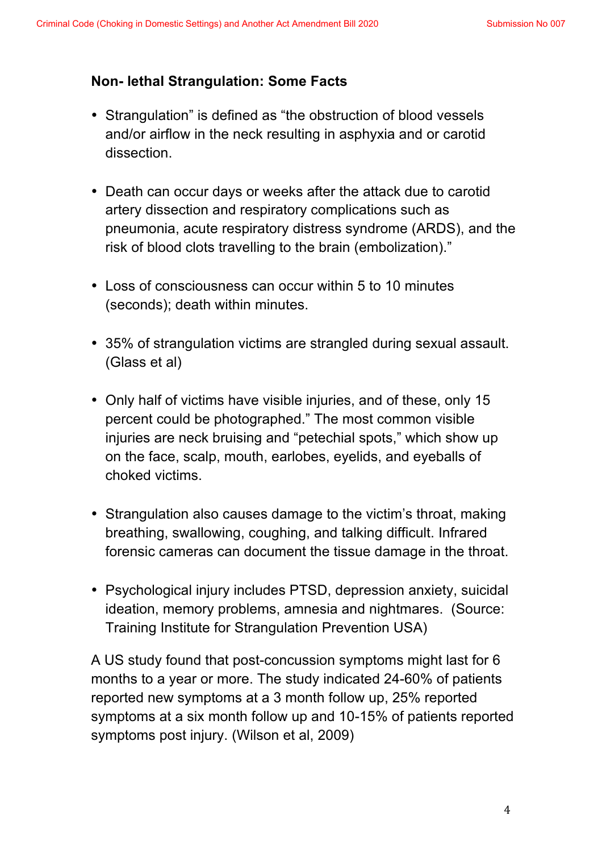#### **Non- lethal Strangulation: Some Facts**

- Strangulation" is defined as "the obstruction of blood vessels and/or airflow in the neck resulting in asphyxia and or carotid dissection.
- Death can occur days or weeks after the attack due to carotid artery dissection and respiratory complications such as pneumonia, acute respiratory distress syndrome (ARDS), and the risk of blood clots travelling to the brain (embolization)."
- Loss of consciousness can occur within 5 to 10 minutes (seconds); death within minutes.
- 35% of strangulation victims are strangled during sexual assault. (Glass et al)
- Only half of victims have visible injuries, and of these, only 15 percent could be photographed." The most common visible injuries are neck bruising and "petechial spots," which show up on the face, scalp, mouth, earlobes, eyelids, and eyeballs of choked victims.
- Strangulation also causes damage to the victim's throat, making breathing, swallowing, coughing, and talking difficult. Infrared forensic cameras can document the tissue damage in the throat.
- Psychological injury includes PTSD, depression anxiety, suicidal ideation, memory problems, amnesia and nightmares. (Source: Training Institute for Strangulation Prevention USA)

A US study found that post-concussion symptoms might last for 6 months to a year or more. The study indicated 24-60% of patients reported new symptoms at a 3 month follow up, 25% reported symptoms at a six month follow up and 10-15% of patients reported symptoms post injury. (Wilson et al, 2009)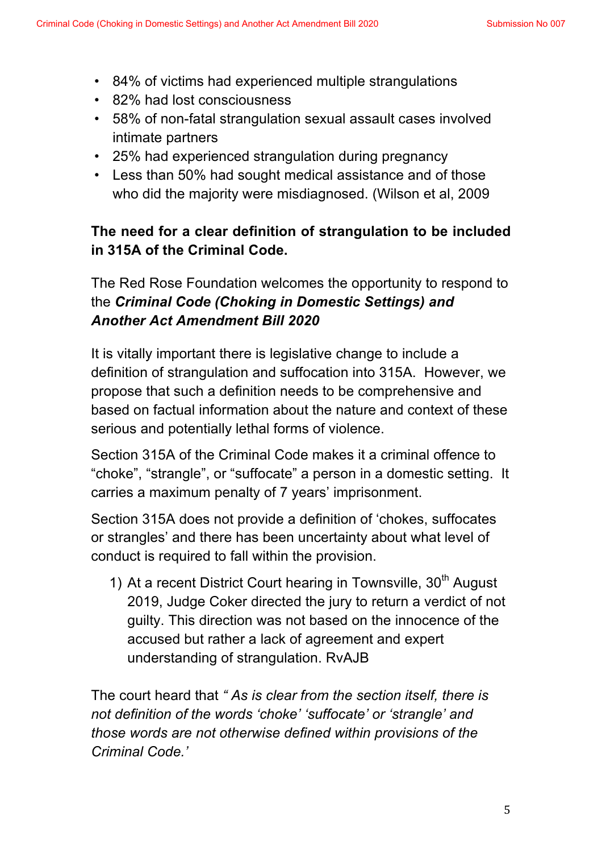- 84% of victims had experienced multiple strangulations
- 82% had lost consciousness
- 58% of non-fatal strangulation sexual assault cases involved intimate partners
- 25% had experienced strangulation during pregnancy
- Less than 50% had sought medical assistance and of those who did the majority were misdiagnosed. (Wilson et al, 2009

# **The need for a clear definition of strangulation to be included in 315A of the Criminal Code.**

The Red Rose Foundation welcomes the opportunity to respond to the *Criminal Code (Choking in Domestic Settings) and Another Act Amendment Bill 2020*

It is vitally important there is legislative change to include a definition of strangulation and suffocation into 315A. However, we propose that such a definition needs to be comprehensive and based on factual information about the nature and context of these serious and potentially lethal forms of violence.

Section 315A of the Criminal Code makes it a criminal offence to "choke", "strangle", or "suffocate" a person in a domestic setting. It carries a maximum penalty of 7 years' imprisonment.

Section 315A does not provide a definition of 'chokes, suffocates or strangles' and there has been uncertainty about what level of conduct is required to fall within the provision.

1) At a recent District Court hearing in Townsville,  $30<sup>th</sup>$  August 2019, Judge Coker directed the jury to return a verdict of not guilty. This direction was not based on the innocence of the accused but rather a lack of agreement and expert understanding of strangulation. RvAJB

The court heard that *" As is clear from the section itself, there is not definition of the words 'choke' 'suffocate' or 'strangle' and those words are not otherwise defined within provisions of the Criminal Code.'*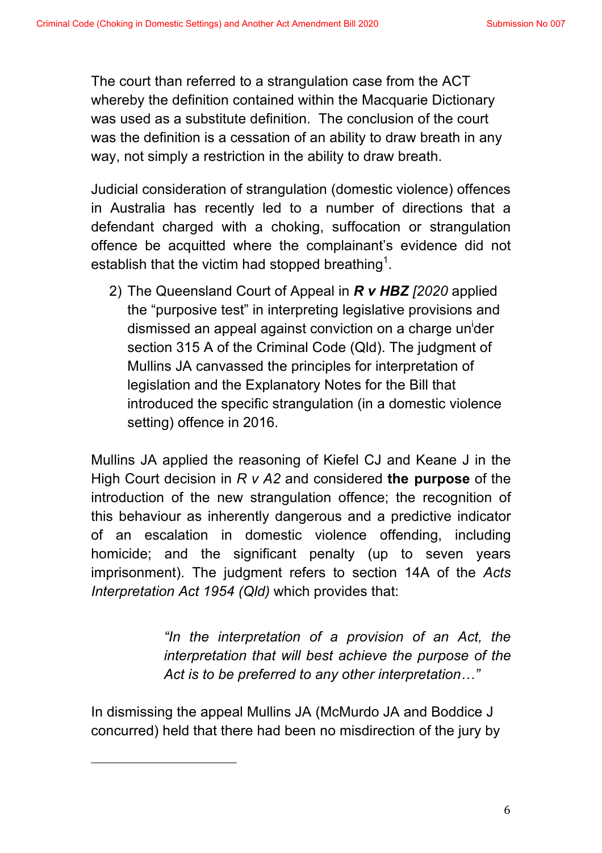The court than referred to a strangulation case from the ACT whereby the definition contained within the Macquarie Dictionary was used as a substitute definition. The conclusion of the court was the definition is a cessation of an ability to draw breath in any way, not simply a restriction in the ability to draw breath.

Judicial consideration of strangulation (domestic violence) offences in Australia has recently led to a number of directions that a defendant charged with a choking, suffocation or strangulation offence be acquitted where the complainant's evidence did not establish that the victim had stopped breathing<sup>1</sup>.

2) The Queensland Court of Appeal in *R v HBZ [2020* applied the "purposive test" in interpreting legislative provisions and dismissed an appeal against conviction on a charge un<sup>i</sup>der section 315 A of the Criminal Code (Qld). The judgment of Mullins JA canvassed the principles for interpretation of legislation and the Explanatory Notes for the Bill that introduced the specific strangulation (in a domestic violence setting) offence in 2016.

Mullins JA applied the reasoning of Kiefel CJ and Keane J in the High Court decision in *R v A2* and considered **the purpose** of the introduction of the new strangulation offence; the recognition of this behaviour as inherently dangerous and a predictive indicator of an escalation in domestic violence offending, including homicide; and the significant penalty (up to seven years imprisonment). The judgment refers to section 14A of the *Acts Interpretation Act 1954 (Qld)* which provides that:

> *"In the interpretation of a provision of an Act, the interpretation that will best achieve the purpose of the Act is to be preferred to any other interpretation…"*

In dismissing the appeal Mullins JA (McMurdo JA and Boddice J concurred) held that there had been no misdirection of the jury by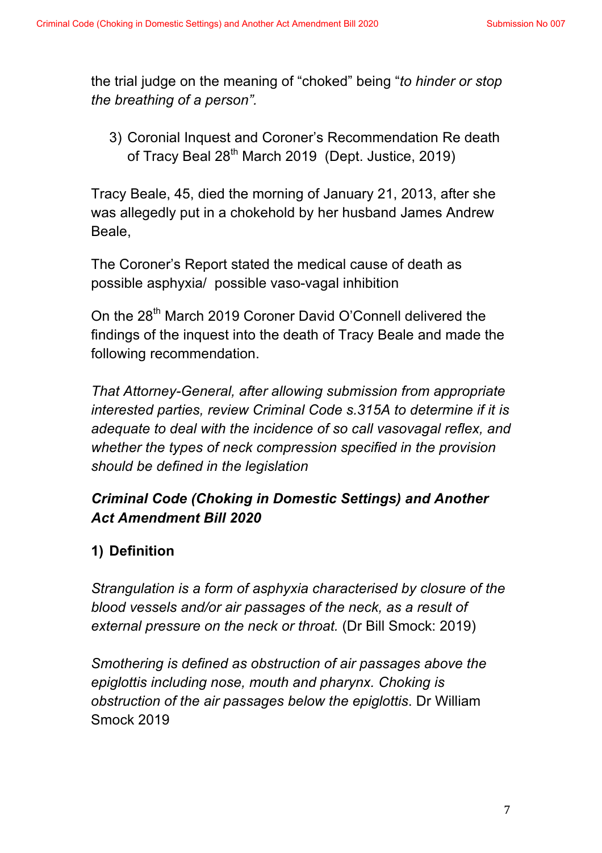the trial judge on the meaning of "choked" being "*to hinder or stop the breathing of a person".* 

3) Coronial Inquest and Coroner's Recommendation Re death of Tracy Beal 28<sup>th</sup> March 2019 (Dept. Justice, 2019)

Tracy Beale, 45, died the morning of January 21, 2013, after she was allegedly put in a chokehold by her husband James Andrew Beale,

The Coroner's Report stated the medical cause of death as possible asphyxia/ possible vaso-vagal inhibition

On the 28<sup>th</sup> March 2019 Coroner David O'Connell delivered the findings of the inquest into the death of Tracy Beale and made the following recommendation.

*That Attorney-General, after allowing submission from appropriate interested parties, review Criminal Code s.315A to determine if it is adequate to deal with the incidence of so call vasovagal reflex, and whether the types of neck compression specified in the provision should be defined in the legislation*

# *Criminal Code (Choking in Domestic Settings) and Another Act Amendment Bill 2020*

# **1) Definition**

*Strangulation is a form of asphyxia characterised by closure of the blood vessels and/or air passages of the neck, as a result of external pressure on the neck or throat.* (Dr Bill Smock: 2019)

*Smothering is defined as obstruction of air passages above the epiglottis including nose, mouth and pharynx. Choking is obstruction of the air passages below the epiglottis*. Dr William Smock 2019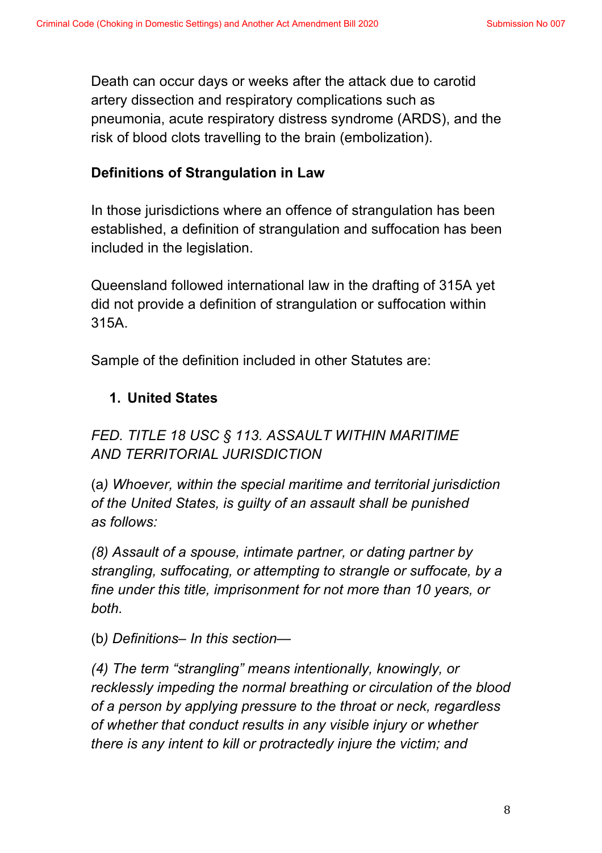Death can occur days or weeks after the attack due to carotid artery dissection and respiratory complications such as pneumonia, acute respiratory distress syndrome (ARDS), and the risk of blood clots travelling to the brain (embolization).

### **Definitions of Strangulation in Law**

In those jurisdictions where an offence of strangulation has been established, a definition of strangulation and suffocation has been included in the legislation.

Queensland followed international law in the drafting of 315A yet did not provide a definition of strangulation or suffocation within 315A.

Sample of the definition included in other Statutes are:

# **1. United States**

*FED. TITLE 18 USC § 113. ASSAULT WITHIN MARITIME AND TERRITORIAL JURISDICTION*

(a*) Whoever, within the special maritime and territorial jurisdiction of the United States, is guilty of an assault shall be punished as follows:*

*(8) Assault of a spouse, intimate partner, or dating partner by strangling, suffocating, or attempting to strangle or suffocate, by a fine under this title, imprisonment for not more than 10 years, or both.*

(b*) Definitions– In this section—* 

*(4) The term "strangling" means intentionally, knowingly, or recklessly impeding the normal breathing or circulation of the blood of a person by applying pressure to the throat or neck, regardless of whether that conduct results in any visible injury or whether there is any intent to kill or protractedly injure the victim; and*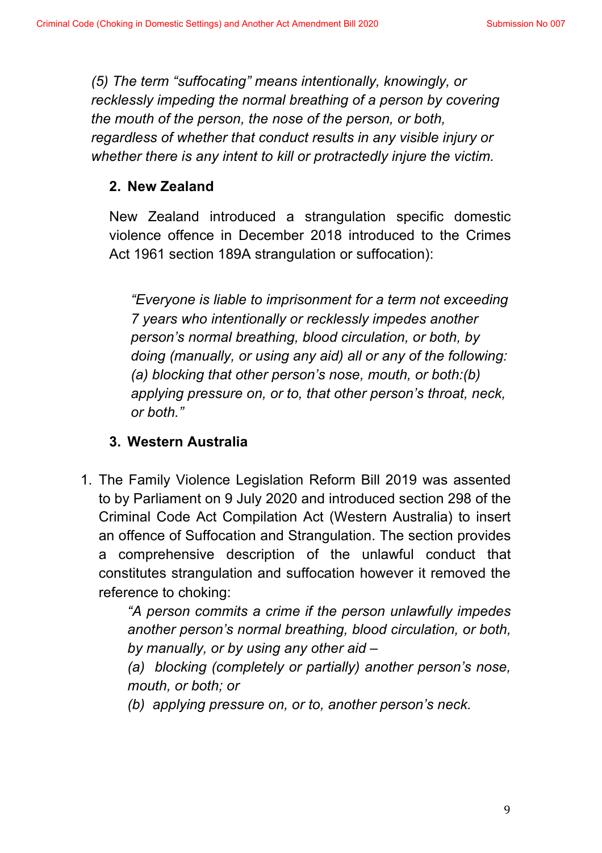*(5) The term "suffocating" means intentionally, knowingly, or recklessly impeding the normal breathing of a person by covering the mouth of the person, the nose of the person, or both, regardless of whether that conduct results in any visible injury or whether there is any intent to kill or protractedly injure the victim.*

#### **2. New Zealand**

New Zealand introduced a strangulation specific domestic violence offence in December 2018 introduced to the Crimes Act 1961 section 189A strangulation or suffocation):

*"Everyone is liable to imprisonment for a term not exceeding 7 years who intentionally or recklessly impedes another person's normal breathing, blood circulation, or both, by doing (manually, or using any aid) all or any of the following: (a) blocking that other person's nose, mouth, or both:(b) applying pressure on, or to, that other person's throat, neck, or both."*

#### **3. Western Australia**

1. The Family Violence Legislation Reform Bill 2019 was assented to by Parliament on 9 July 2020 and introduced section 298 of the Criminal Code Act Compilation Act (Western Australia) to insert an offence of Suffocation and Strangulation. The section provides a comprehensive description of the unlawful conduct that constitutes strangulation and suffocation however it removed the reference to choking:

> *"A person commits a crime if the person unlawfully impedes another person's normal breathing, blood circulation, or both, by manually, or by using any other aid –*

> *(a) blocking (completely or partially) another person's nose, mouth, or both; or*

*(b) applying pressure on, or to, another person's neck.*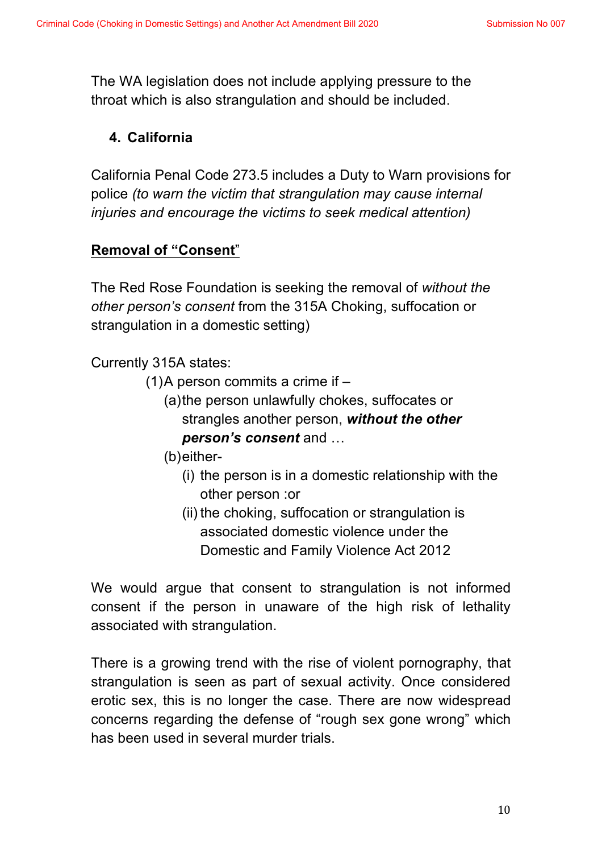The WA legislation does not include applying pressure to the throat which is also strangulation and should be included.

### **4. California**

California Penal Code 273.5 includes a Duty to Warn provisions for police *(to warn the victim that strangulation may cause internal injuries and encourage the victims to seek medical attention)*

### **Removal of "Consent**"

The Red Rose Foundation is seeking the removal of *without the other person's consent* from the 315A Choking, suffocation or strangulation in a domestic setting)

Currently 315A states:

- (1)A person commits a crime if
	- (a)the person unlawfully chokes, suffocates or strangles another person, *without the other person's consent* and …
	- (b)either-
		- (i) the person is in a domestic relationship with the other person :or
		- (ii) the choking, suffocation or strangulation is associated domestic violence under the Domestic and Family Violence Act 2012

We would argue that consent to strangulation is not informed consent if the person in unaware of the high risk of lethality associated with strangulation.

There is a growing trend with the rise of violent pornography, that strangulation is seen as part of sexual activity. Once considered erotic sex, this is no longer the case. There are now widespread concerns regarding the defense of "rough sex gone wrong" which has been used in several murder trials.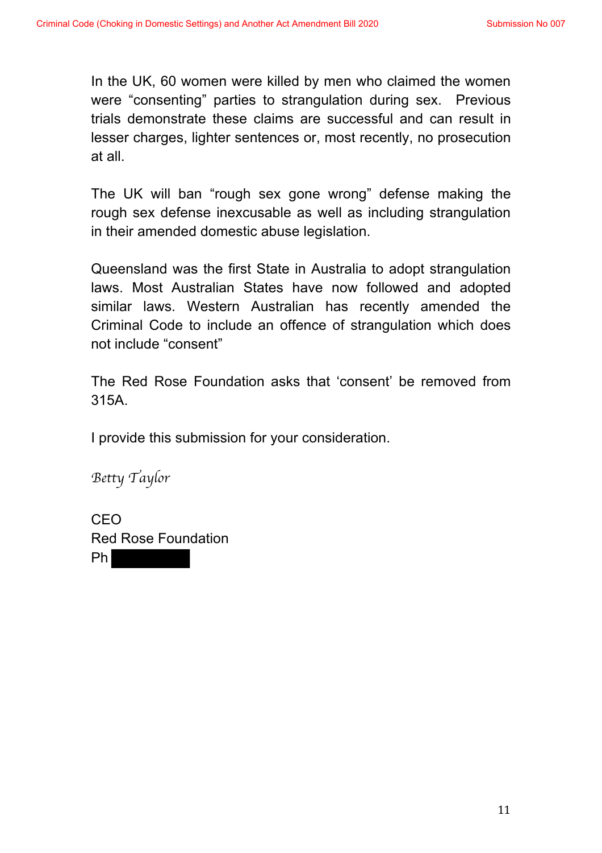In the UK, 60 women were killed by men who claimed the women were "consenting" parties to strangulation during sex. Previous trials demonstrate these claims are successful and can result in lesser charges, lighter sentences or, most recently, no prosecution at all.

The UK will ban "rough sex gone wrong" defense making the rough sex defense inexcusable as well as including strangulation in their amended domestic abuse legislation.

Queensland was the first State in Australia to adopt strangulation laws. Most Australian States have now followed and adopted similar laws. Western Australian has recently amended the Criminal Code to include an offence of strangulation which does not include "consent"

The Red Rose Foundation asks that 'consent' be removed from 315A.

I provide this submission for your consideration.

*Betty Taylor*

CEO Red Rose Foundation Ph